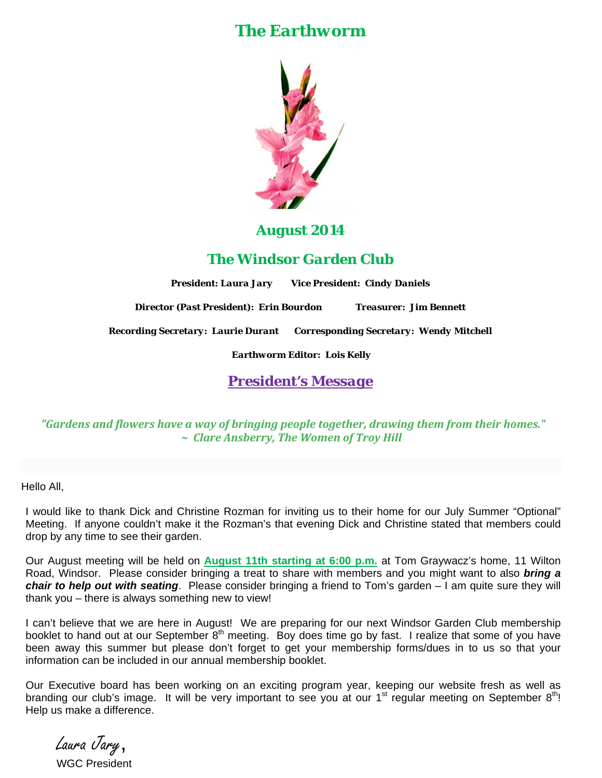## *The Earthworm*



## *August 2014*

*The Windsor Garden Club* 

*President: Laura Jary Vice President: Cindy Daniels*

*Director (Past President): Erin Bourdon Treasurer: Jim Bennett* 

*Recording Secretary: Laurie Durant Corresponding Secretary: Wendy Mitchell* 

*Earthworm Editor: Lois Kelly*

*President's Message* 

*"Gardens and flowers have a way of bringing people together, drawing them from their homes." ~ Clare Ansberry, The Women of Troy Hill*

Hello All,

I would like to thank Dick and Christine Rozman for inviting us to their home for our July Summer "Optional" Meeting. If anyone couldn't make it the Rozman's that evening Dick and Christine stated that members could drop by any time to see their garden.

Our August meeting will be held on **August 11th starting at 6:00 p.m.** at Tom Graywacz's home, 11 Wilton Road, Windsor. Please consider bringing a treat to share with members and you might want to also *bring a chair to help out with seating*. Please consider bringing a friend to Tom's garden – I am quite sure they will thank you – there is always something new to view!

I can't believe that we are here in August! We are preparing for our next Windsor Garden Club membership booklet to hand out at our September 8<sup>th</sup> meeting. Boy does time go by fast. I realize that some of you have been away this summer but please don't forget to get your membership forms/dues in to us so that your information can be included in our annual membership booklet.

Our Executive board has been working on an exciting program year, keeping our website fresh as well as branding our club's image. It will be very important to see you at our 1<sup>st</sup> reqular meeting on September 8<sup>th</sup>! Help us make a difference.

Laura Jary, WGC President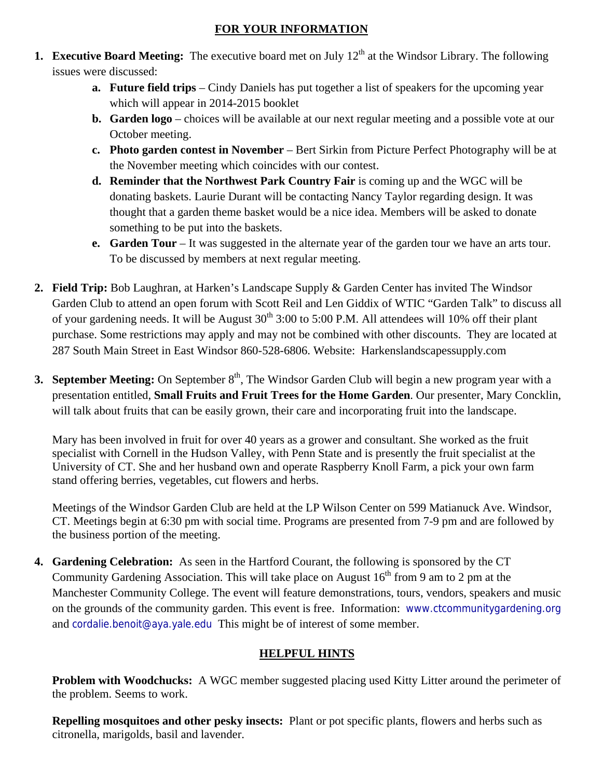## **FOR YOUR INFORMATION**

- **1. Executive Board Meeting:** The executive board met on July 12<sup>th</sup> at the Windsor Library. The following issues were discussed:
	- **a. Future field trips** Cindy Daniels has put together a list of speakers for the upcoming year which will appear in 2014-2015 booklet
	- **b. Garden logo** choices will be available at our next regular meeting and a possible vote at our October meeting.
	- **c. Photo garden contest in November** Bert Sirkin from Picture Perfect Photography will be at the November meeting which coincides with our contest.
	- **d. Reminder that the Northwest Park Country Fair** is coming up and the WGC will be donating baskets. Laurie Durant will be contacting Nancy Taylor regarding design. It was thought that a garden theme basket would be a nice idea. Members will be asked to donate something to be put into the baskets.
	- **e.** Garden Tour It was suggested in the alternate year of the garden tour we have an arts tour. To be discussed by members at next regular meeting.
- **2. Field Trip:** Bob Laughran, at Harken's Landscape Supply & Garden Center has invited The Windsor Garden Club to attend an open forum with Scott Reil and Len Giddix of WTIC "Garden Talk" to discuss all of your gardening needs. It will be August  $30<sup>th</sup> 3:00$  to 5:00 P.M. All attendees will 10% off their plant purchase. Some restrictions may apply and may not be combined with other discounts. They are located at 287 South Main Street in East Windsor 860-528-6806. Website: Harkenslandscapessupply.com
- **3. September Meeting:** On September 8<sup>th</sup>, The Windsor Garden Club will begin a new program year with a presentation entitled, **Small Fruits and Fruit Trees for the Home Garden**. Our presenter, Mary Concklin, will talk about fruits that can be easily grown, their care and incorporating fruit into the landscape.

Mary has been involved in fruit for over 40 years as a grower and consultant. She worked as the fruit specialist with Cornell in the Hudson Valley, with Penn State and is presently the fruit specialist at the University of CT. She and her husband own and operate Raspberry Knoll Farm, a pick your own farm stand offering berries, vegetables, cut flowers and herbs.

Meetings of the Windsor Garden Club are held at the LP Wilson Center on 599 Matianuck Ave. Windsor, CT. Meetings begin at 6:30 pm with social time. Programs are presented from 7-9 pm and are followed by the business portion of the meeting.

**4. Gardening Celebration:** As seen in the Hartford Courant, the following is sponsored by the CT Community Gardening Association. This will take place on August  $16<sup>th</sup>$  from 9 am to 2 pm at the Manchester Community College. The event will feature demonstrations, tours, vendors, speakers and music on the grounds of the community garden. This event is free. Information: www.ctcommunitygardening.org and cordalie.benoit@aya.yale.edu This might be of interest of some member.

## **HELPFUL HINTS**

**Problem with Woodchucks:** A WGC member suggested placing used Kitty Litter around the perimeter of the problem. Seems to work.

**Repelling mosquitoes and other pesky insects:** Plant or pot specific plants, flowers and herbs such as citronella, marigolds, basil and lavender.